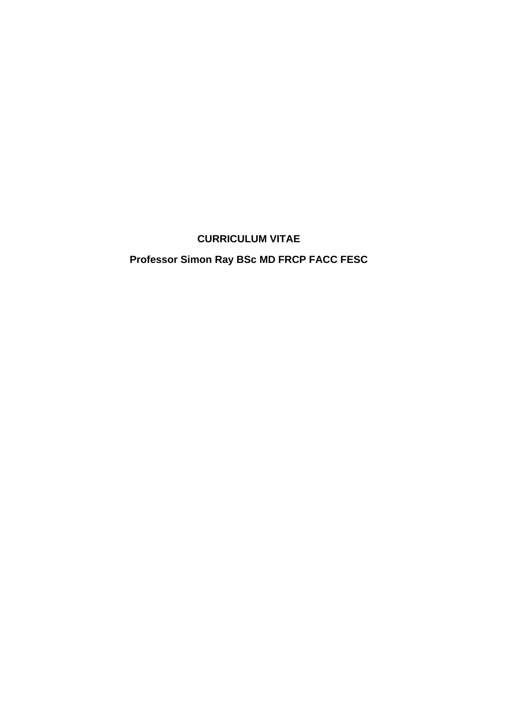## **CURRICULUM VITAE**

# **Professor Simon Ray BSc MD FRCP FACC FESC**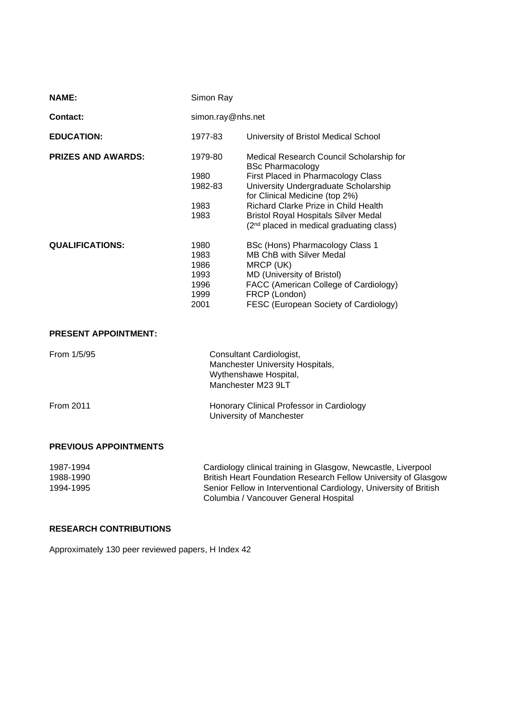| <b>NAME:</b>              | Simon Ray         |                                                                                           |
|---------------------------|-------------------|-------------------------------------------------------------------------------------------|
| <b>Contact:</b>           | simon.ray@nhs.net |                                                                                           |
| <b>EDUCATION:</b>         | 1977-83           | University of Bristol Medical School                                                      |
| <b>PRIZES AND AWARDS:</b> | 1979-80           | Medical Research Council Scholarship for<br><b>BSc Pharmacology</b>                       |
|                           | 1980<br>1982-83   | First Placed in Pharmacology Class<br>University Undergraduate Scholarship                |
|                           |                   | for Clinical Medicine (top 2%)                                                            |
|                           | 1983              | Richard Clarke Prize in Child Health                                                      |
|                           | 1983              | <b>Bristol Royal Hospitals Silver Medal</b><br>$(2nd placed in medical graduating class)$ |
| <b>QUALIFICATIONS:</b>    | 1980              | BSc (Hons) Pharmacology Class 1                                                           |
|                           | 1983              | <b>MB ChB with Silver Medal</b>                                                           |
|                           | 1986              | MRCP (UK)                                                                                 |
|                           | 1993              | MD (University of Bristol)                                                                |
|                           | 1996              | FACC (American College of Cardiology)                                                     |
|                           | 1999              | FRCP (London)                                                                             |
|                           | 2001              | FESC (European Society of Cardiology)                                                     |

#### **PRESENT APPOINTMENT:**

| From 1/5/95                  | Consultant Cardiologist,<br>Manchester University Hospitals,<br>Wythenshawe Hospital,<br>Manchester M23 9LT |
|------------------------------|-------------------------------------------------------------------------------------------------------------|
| From 2011                    | Honorary Clinical Professor in Cardiology<br>University of Manchester                                       |
| <b>PREVIOUS APPOINTMENTS</b> |                                                                                                             |
| 1007.1001                    | Cordiology olinical training in Closgow, Nowgootle, Liverpool                                               |

| 1987-1994 | Cardiology clinical training in Glasgow, Newcastle, Liverpool     |
|-----------|-------------------------------------------------------------------|
| 1988-1990 | British Heart Foundation Research Fellow University of Glasgow    |
| 1994-1995 | Senior Fellow in Interventional Cardiology, University of British |
|           | Columbia / Vancouver General Hospital                             |

### **RESEARCH CONTRIBUTIONS**

Approximately 130 peer reviewed papers, H Index 42